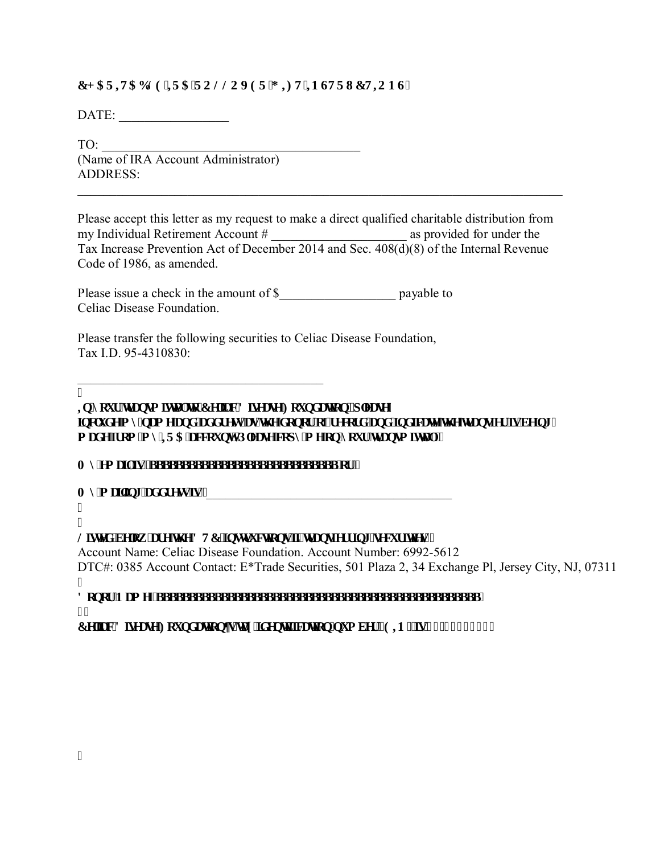## **EJ CTIVCDNG'KI'C'TQNNQXGT'I HIV'IP UVTWEVIQP U''**

DATE: \_\_\_\_\_\_\_\_\_\_\_\_\_\_\_\_\_

TO: (Name of IRA Account Administrator) ADDRESS:

Please accept this letter as my request to make a direct qualified charitable distribution from my Individual Retirement Account # \_\_\_\_\_\_\_\_\_\_\_\_\_\_\_\_\_\_\_\_\_ as provided for under the Tax Increase Prevention Act of December 2014 and Sec. 408(d)(8) of the Internal Revenue Code of 1986, as amended.

\_\_\_\_\_\_\_\_\_\_\_\_\_\_\_\_\_\_\_\_\_\_\_\_\_\_\_\_\_\_\_\_\_\_\_\_\_\_\_\_\_\_\_\_\_\_\_\_\_\_\_\_\_\_\_\_\_\_\_\_\_\_\_\_\_\_\_\_\_\_\_\_\_\_\_

Please issue a check in the amount of \$\_\_\_\_\_\_\_\_\_\_\_\_\_\_\_\_\_\_ payable to Celiac Disease Foundation.

Please transfer the following securities to Celiac Disease Foundation, Tax I.D. 95-4310830:

\_\_\_\_\_\_\_\_\_\_\_\_\_\_\_\_\_\_\_\_\_\_\_\_\_\_\_\_\_\_\_\_\_\_\_\_\_\_  $\overline{\mathbf{u}}$ 

**Kp'**{qwt'\tcpup laverl\q'Egrke'Flugcug'Hqwpf c\lap.'r rgcug'' lpenwf g'b { 'pco g'cpf 'cf f t gui'cu'vi g'f qpqt 'qh't geqtf 'cpf 'lpf lec vg'vi g'w c pulgt 'ki'dlglipi '' o cf g'lt qo 'b { 'KTC' ceeq wpw Regoug' eqr { 'b g' qp' { qwt 't t c pub kwcn"

O {'go ckikk aaaaaaaaaaaaaaaaaaaaaaaaaaaa'qt'''

 $\mathbf{O}$  { 'b ckkpi 'cf f t guy'kk''

 $\bullet$  $\mathbf{H}$ 

 $\mathbf{H}$ 

## Nawaf 'danny 'tta'ij a'FVE 'kouwt weykopu'litht coulat thoi 'taewt kykau''

Account Name: Celiac Disease Foundation. Account Number: 6992-5612 DTC#: 0385 Account Contact: E\*Trade Securities, 501 Plaza 2, 34 Exchange Pl, Jersey City, NJ, 07311 I

**'RQRU1DPHBBBBBBBBBBBBBBBBBBBBBBBBBBBBBBBBBBBBBBBBBBBBBBBBBB**  $^{\bullet}$ 

**Egike'F kigcug'Hqwpf cykqpød'vez'lf gpylitecykqp'pwo dgt '\*GIP+'ku', 7/6532: 520**